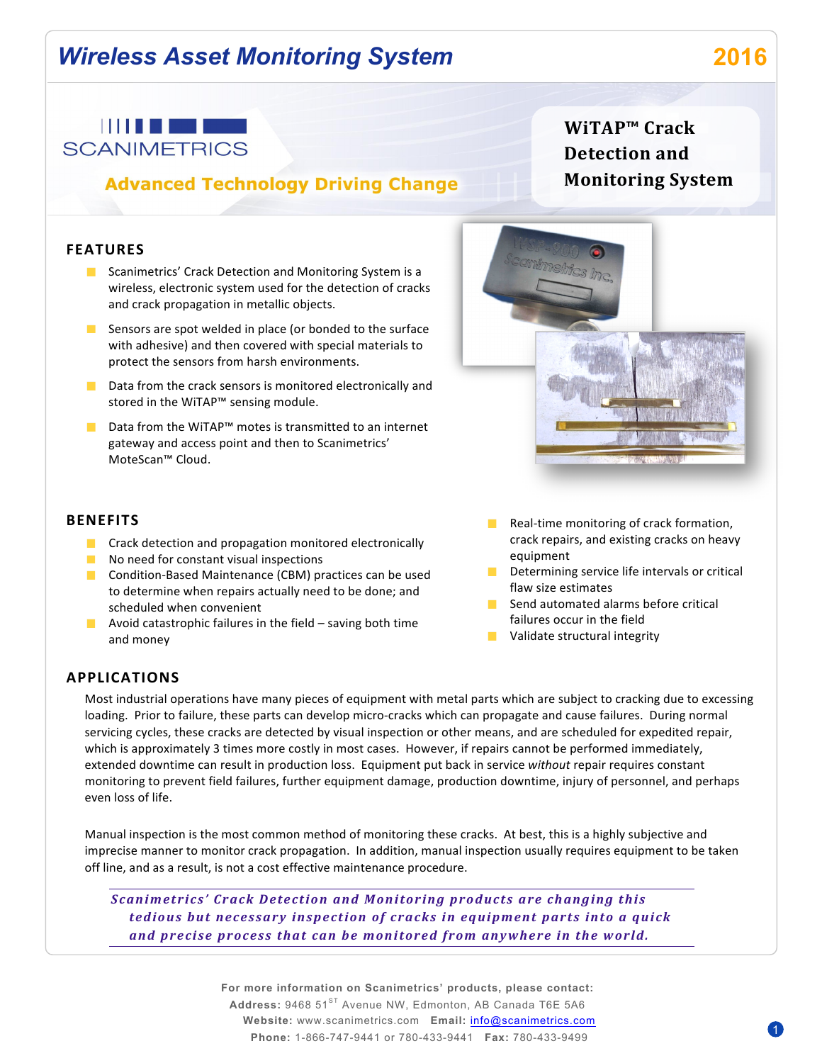# *Wireless Asset Monitoring System* **2016**



### **Advanced Technology Driving Change**

### **WiTAP™ Crack Detection and Monitoring System**

#### **FEATURES**

- **E** Scanimetrics' Crack Detection and Monitoring System is a wireless, electronic system used for the detection of cracks and crack propagation in metallic objects.
- Sensors are spot welded in place (or bonded to the surface with adhesive) and then covered with special materials to protect the sensors from harsh environments.
- $\Box$  Data from the crack sensors is monitored electronically and stored in the WiTAP™ sensing module.
- Data from the WiTAP™ motes is transmitted to an internet gateway and access point and then to Scanimetrics' MoteScan™ Cloud.



#### **BENEFITS**

- $\blacksquare$  Crack detection and propagation monitored electronically
- $\blacksquare$  No need for constant visual inspections
- **Condition-Based Maintenance (CBM) practices can be used** to determine when repairs actually need to be done; and scheduled when convenient
- **Avoid catastrophic failures in the field saving both time** and money
- $\mathcal{L}^{\mathcal{A}}$ Real-time monitoring of crack formation, crack repairs, and existing cracks on heavy equipment
- $\blacksquare$  Determining service life intervals or critical flaw size estimates
- $\blacksquare$  Send automated alarms before critical failures occur in the field
- $\blacksquare$  Validate structural integrity

#### **APPLICATIONS**

Most industrial operations have many pieces of equipment with metal parts which are subject to cracking due to excessing loading. Prior to failure, these parts can develop micro-cracks which can propagate and cause failures. During normal servicing cycles, these cracks are detected by visual inspection or other means, and are scheduled for expedited repair, which is approximately 3 times more costly in most cases. However, if repairs cannot be performed immediately, extended downtime can result in production loss. Equipment put back in service without repair requires constant monitoring to prevent field failures, further equipment damage, production downtime, injury of personnel, and perhaps even loss of life.

Manual inspection is the most common method of monitoring these cracks. At best, this is a highly subjective and imprecise manner to monitor crack propagation. In addition, manual inspection usually requires equipment to be taken off line, and as a result, is not a cost effective maintenance procedure.

*Scanimetrics' Crack Detection and Monitoring products are changing this tedious* but necessary inspection of cracks in equipment parts into a quick and precise process that can be monitored from anywhere in the world.

> **For more information on Scanimetrics' products, please contact:** Address: 9468 51<sup>ST</sup> Avenue NW, Edmonton, AB Canada T6E 5A6 **Website:** www.scanimetrics.com **Email:** info@scanimetrics.com **Phone:** 1-866-747-9441 or 780-433-9441 **Fax:** 780-433-9499